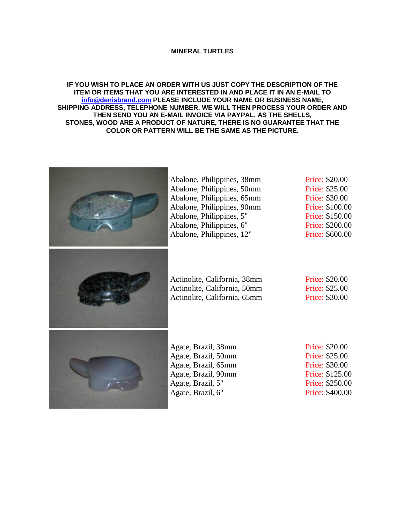## **MINERAL TURTLES**

## **IF YOU WISH TO PLACE AN ORDER WITH US JUST COPY THE DESCRIPTION OF THE ITEM OR ITEMS THAT YOU ARE INTERESTED IN AND PLACE IT IN AN E-MAIL TO [info@denisbrand.com](mailto:info@denisbrand.com) PLEASE INCLUDE YOUR NAME OR BUSINESS NAME, SHIPPING ADDRESS, TELEPHONE NUMBER. WE WILL THEN PROCESS YOUR ORDER AND THEN SEND YOU AN E-MAIL INVOICE VIA PAYPAL. AS THE SHELLS, STONES, WOOD ARE A PRODUCT OF NATURE, THERE IS NO GUARANTEE THAT THE COLOR OR PATTERN WILL BE THE SAME AS THE PICTURE.**

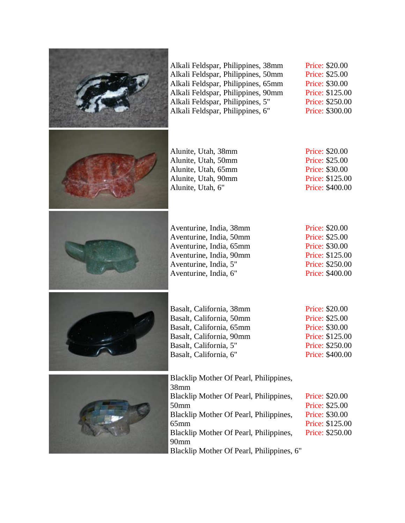| Alkali Feldspar, Philippines, 38mm<br>Alkali Feldspar, Philippines, 50mm<br>Alkali Feldspar, Philippines, 65mm<br>Alkali Feldspar, Philippines, 90mm<br>Alkali Feldspar, Philippines, 5"<br>Alkali Feldspar, Philippines, 6"                                                 | Price: \$20.00<br>Price: \$25.00<br><b>Price: \$30.00</b><br>Price: \$125.00<br>Price: \$250.00<br>Price: \$300.00 |
|------------------------------------------------------------------------------------------------------------------------------------------------------------------------------------------------------------------------------------------------------------------------------|--------------------------------------------------------------------------------------------------------------------|
| Alunite, Utah, 38mm<br>Alunite, Utah, 50mm<br>Alunite, Utah, 65mm<br>Alunite, Utah, 90mm<br>Alunite, Utah, 6"                                                                                                                                                                | Price: \$20.00<br>Price: \$25.00<br>Price: \$30.00<br>Price: \$125.00<br>Price: \$400.00                           |
| Aventurine, India, 38mm<br>Aventurine, India, 50mm<br>Aventurine, India, 65mm<br>Aventurine, India, 90mm<br>Aventurine, India, 5"<br>Aventurine, India, 6"                                                                                                                   | Price: \$20.00<br>Price: \$25.00<br>Price: \$30.00<br>Price: \$125.00<br>Price: \$250.00<br>Price: \$400.00        |
| Basalt, California, 38mm<br>Basalt, California, 50mm<br>Basalt, California, 65mm<br>Basalt, California, 90mm<br>Basalt, California, 5"<br>Basalt, California, 6"                                                                                                             | Price: \$20.00<br>Price: \$25.00<br>Price: \$30.00<br>Price: \$125.00<br>Price: \$250.00<br>Price: \$400.00        |
| Blacklip Mother Of Pearl, Philippines,<br>38mm<br>Blacklip Mother Of Pearl, Philippines,<br>50 <sub>mm</sub><br>Blacklip Mother Of Pearl, Philippines,<br>$65$ mm<br>Blacklip Mother Of Pearl, Philippines,<br>90 <sub>mm</sub><br>Blacklip Mother Of Pearl, Philippines, 6" | Price: \$20.00<br>Price: \$25.00<br>Price: \$30.00<br>Price: \$125.00<br>Price: \$250.00                           |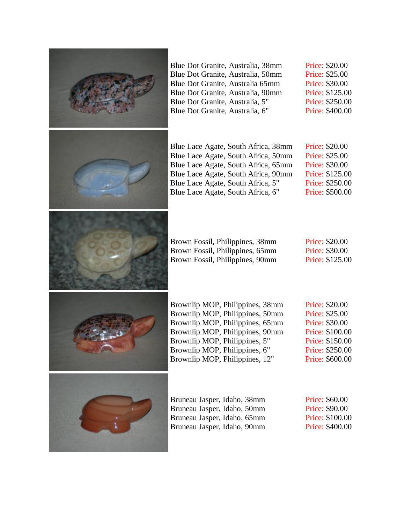

Price: \$20.00 Price: \$25.00 Price: \$30.00 Price: \$125.00 Price: \$250.00 Price: \$400.00

| Blue Lace Agate, South Africa, 38mm | Price: \$20.00        |
|-------------------------------------|-----------------------|
| Blue Lace Agate, South Africa, 50mm | Price: \$25.00        |
| Blue Lace Agate, South Africa, 65mm | <b>Price: \$30.00</b> |
| Blue Lace Agate, South Africa, 90mm | Price: \$125.00       |
| Blue Lace Agate, South Africa, 5"   | Price: \$250.00       |
| Blue Lace Agate, South Africa, 6"   | Price: \$500.00       |

| Brown Fossil, Philippines, 38mm |  |
|---------------------------------|--|
| Brown Fossil, Philippines, 65mm |  |
| Brown Fossil, Philippines, 90mm |  |

| Price: \$20.00  |
|-----------------|
| Price: \$30.00  |
| Price: \$125.00 |



Price: \$20.00 Price: \$25.00 Price: \$30.00 Price: \$100.00 Price: \$150.00 Price: \$250.00 Price: \$600.00



| Bruneau Jasper, Idaho, 38mm |  |
|-----------------------------|--|
| Bruneau Jasper, Idaho, 50mm |  |
| Bruneau Jasper, Idaho, 65mm |  |
| Bruneau Jasper, Idaho, 90mm |  |

Price: \$60.00 Price: \$90.00 Price: \$100.00 Price: \$400.00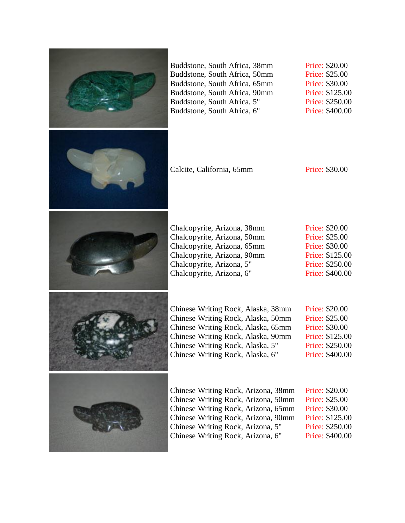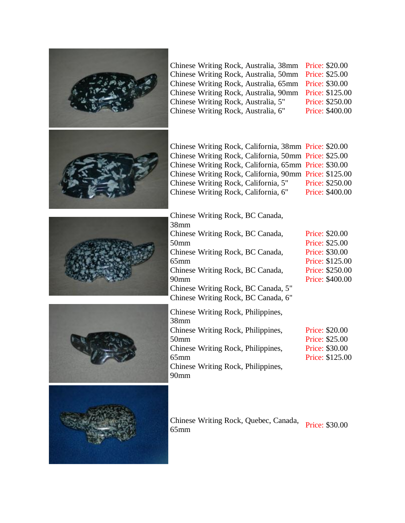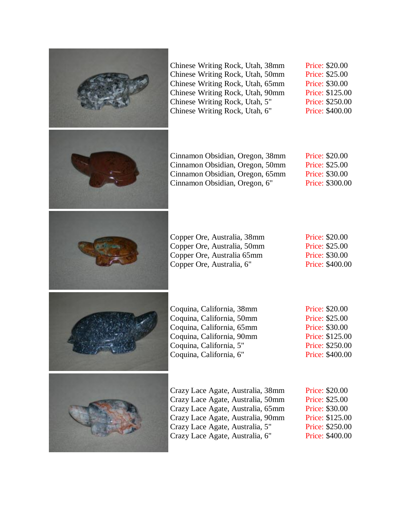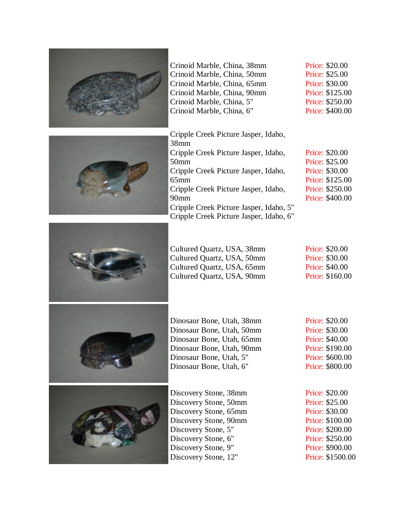



Crinoid Marble, China, 38mm Crinoid Marble, China, 50mm Crinoid Marble, China, 65mm Crinoid Marble, China, 90mm Crinoid Marble, China, 5" Crinoid Marble, China, 6"

Price: \$20.00 Price: \$25.00 Price: \$30.00 Price: \$125.00 Price: \$250.00 Price: \$400.00

Price: \$20.00 Price: \$25.00 Price: \$30.00 Price: \$125.00 Price: \$250.00 Price: \$400.00

Cripple Creek Picture Jasper, Idaho, 38mm Cripple Creek Picture Jasper, Idaho, 50mm Cripple Creek Picture Jasper, Idaho, 65mm Cripple Creek Picture Jasper, Idaho, 90mm Cripple Creek Picture Jasper, Idaho, 5" Cripple Creek Picture Jasper, Idaho, 6"

Cultured Quartz, USA, 38mm Cultured Quartz, USA, 50mm Cultured Quartz, USA, 65mm Cultured Quartz, USA, 90mm

| Price: \$20.00        |
|-----------------------|
| <b>Price: \$30.00</b> |
| <b>Price: \$40.00</b> |
| Price: \$160.00       |





Dinosaur Bone, Utah, 38mm Dinosaur Bone, Utah, 50mm Dinosaur Bone, Utah, 65mm Dinosaur Bone, Utah, 90mm Dinosaur Bone, Utah, 5" Dinosaur Bone, Utah, 6"

Discovery Stone, 38mm Discovery Stone, 50mm Discovery Stone, 65mm Discovery Stone, 90mm Discovery Stone, 5" Discovery Stone, 6" Discovery Stone, 9" Discovery Stone, 12"

Price: \$20.00 Price: \$30.00 Price: \$40.00 Price: \$190.00 Price: \$600.00 Price: \$800.00

Price: \$20.00 Price: \$25.00 Price: \$30.00 Price: \$100.00 Price: \$200.00 Price: \$250.00 Price: \$900.00 Price: \$1500.00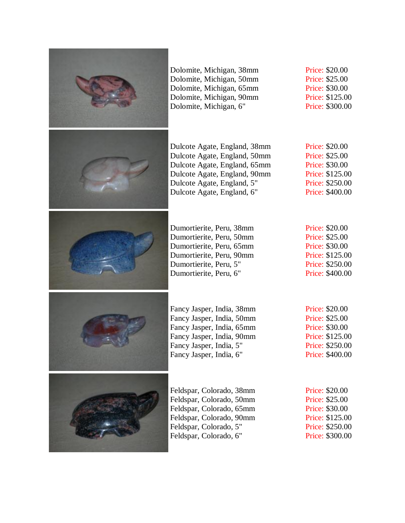

Dolomite, Michigan, 38mm Dolomite, Michigan, 50mm Dolomite, Michigan, 65mm Dolomite, Michigan, 90mm Dolomite, Michigan, 6"

Dulcote Agate, England, 38mm Dulcote Agate, England, 50mm Dulcote Agate, England, 65mm Dulcote Agate, England, 90mm Dulcote Agate, England, 5" Dulcote Agate, England, 6"

Dumortierite, Peru, 38mm Dumortierite, Peru, 50mm Dumortierite, Peru, 65mm Dumortierite, Peru, 90mm Dumortierite, Peru, 5" Dumortierite, Peru, 6"

Fancy Jasper, India, 38mm Fancy Jasper, India, 50mm Fancy Jasper, India, 65mm Fancy Jasper, India, 90mm Fancy Jasper, India, 5" Fancy Jasper, India, 6"

Price: \$20.00 Price: \$25.00 Price: \$30.00 Price: \$125.00 Price: \$300.00

Price: \$20.00 Price: \$25.00 Price: \$30.00 Price: \$125.00 Price: \$250.00 Price: \$400.00

Price: \$20.00 Price: \$25.00 Price: \$30.00 Price: \$125.00 Price: \$250.00 Price: \$400.00





Feldspar, Colorado, 38mm Feldspar, Colorado, 50mm Feldspar, Colorado, 65mm Feldspar, Colorado, 90mm Feldspar, Colorado, 5" Feldspar, Colorado, 6"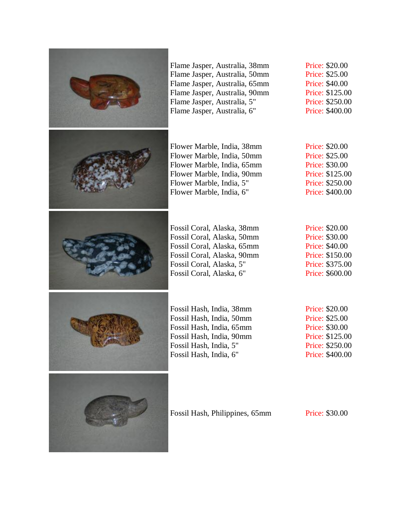

Flame Jasper, Australia, 38mm Flame Jasper, Australia, 50mm Flame Jasper, Australia, 65mm Flame Jasper, Australia, 90mm Flame Jasper, Australia, 5" Flame Jasper, Australia, 6"

Flower Marble, India, 38mm Flower Marble, India, 50mm Flower Marble, India, 65mm Flower Marble, India, 90mm Flower Marble, India, 5" Flower Marble, India, 6"

Fossil Coral, Alaska, 38mm Fossil Coral, Alaska, 50mm Fossil Coral, Alaska, 65mm Fossil Coral, Alaska, 90mm Fossil Coral, Alaska, 5" Fossil Coral, Alaska, 6"

Price: \$20.00 Price: \$25.00 Price: \$40.00 Price: \$125.00 Price: \$250.00 Price: \$400.00

Price: \$20.00 Price: \$25.00 Price: \$30.00 Price: \$125.00 Price: \$250.00 Price: \$400.00

Price: \$20.00 Price: \$30.00 Price: \$40.00 Price: \$150.00 Price: \$375.00 Price: \$600.00



Fossil Hash, India, 38mm Fossil Hash, India, 50mm Fossil Hash, India, 65mm Fossil Hash, India, 90mm Fossil Hash, India, 5" Fossil Hash, India, 6"

Price: \$20.00 Price: \$25.00 Price: \$30.00 Price: \$125.00 Price: \$250.00 Price: \$400.00



Fossil Hash, Philippines, 65mm Price: \$30.00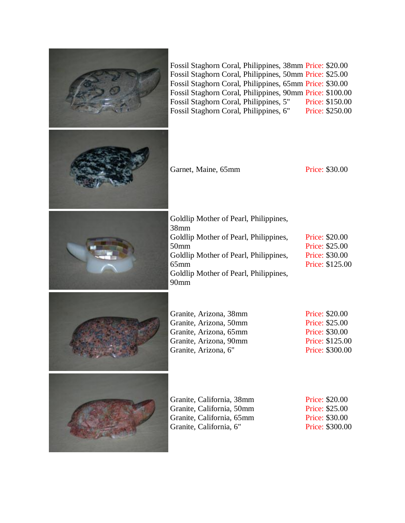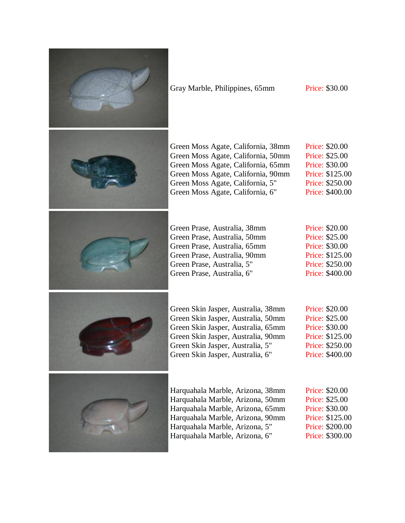

Gray Marble, Philippines, 65mm Price: \$30.00



Green Moss Agate, California, 38mm Green Moss Agate, California, 50mm Green Moss Agate, California, 65mm Green Moss Agate, California, 90mm Green Moss Agate, California, 5" Green Moss Agate, California, 6" Price: \$20.00 Price: \$25.00 Price: \$30.00 Price: \$125.00 Price: \$250.00 Price: \$400.00

Green Prase, Australia, 38mm Green Prase, Australia, 50mm Green Prase, Australia, 65mm Green Prase, Australia, 90mm Green Prase, Australia, 5" Green Prase, Australia, 6"

Price: \$20.00 Price: \$25.00 Price: \$30.00 Price: \$125.00 Price: \$250.00 Price: \$400.00



Green Skin Jasper, Australia, 38mm Green Skin Jasper, Australia, 50mm Green Skin Jasper, Australia, 65mm Green Skin Jasper, Australia, 90mm Green Skin Jasper, Australia, 5" Green Skin Jasper, Australia, 6"

Price: \$20.00 Price: \$25.00 Price: \$30.00 Price: \$125.00 Price: \$250.00 Price: \$400.00



Harquahala Marble, Arizona, 38mm Harquahala Marble, Arizona, 50mm Harquahala Marble, Arizona, 65mm Harquahala Marble, Arizona, 90mm Harquahala Marble, Arizona, 5" Harquahala Marble, Arizona, 6"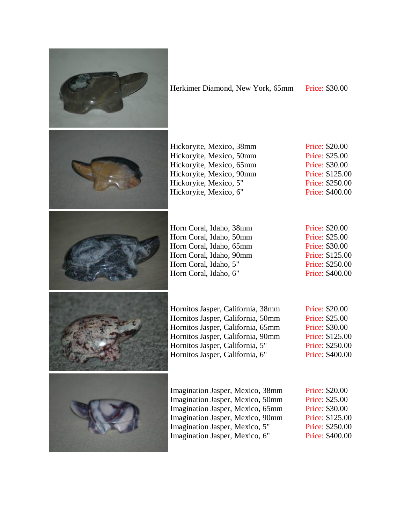

## Herkimer Diamond, New York, 65mm Price: \$30.00



Hickoryite, Mexico, 38mm Hickoryite, Mexico, 50mm Hickoryite, Mexico, 65mm Hickoryite, Mexico, 90mm Hickoryite, Mexico, 5" Hickoryite, Mexico, 6"

Horn Coral, Idaho, 38mm Horn Coral, Idaho, 50mm Horn Coral, Idaho, 65mm Horn Coral, Idaho, 90mm Horn Coral, Idaho, 5" Horn Coral, Idaho, 6"

Price: \$20.00 Price: \$25.00 Price: \$30.00 Price: \$125.00 Price: \$250.00 Price: \$400.00

Price: \$20.00 Price: \$25.00 Price: \$30.00 Price: \$125.00 Price: \$250.00 Price: \$400.00



Hornitos Jasper, California, 38mm Hornitos Jasper, California, 50mm Hornitos Jasper, California, 65mm Hornitos Jasper, California, 90mm Hornitos Jasper, California, 5" Hornitos Jasper, California, 6"

Price: \$20.00 Price: \$25.00 Price: \$30.00 Price: \$125.00 Price: \$250.00 Price: \$400.00

Imagination Jasper, Mexico, 38mm Imagination Jasper, Mexico, 50mm Imagination Jasper, Mexico, 65mm Imagination Jasper, Mexico, 90mm Imagination Jasper, Mexico, 5" Imagination Jasper, Mexico, 6"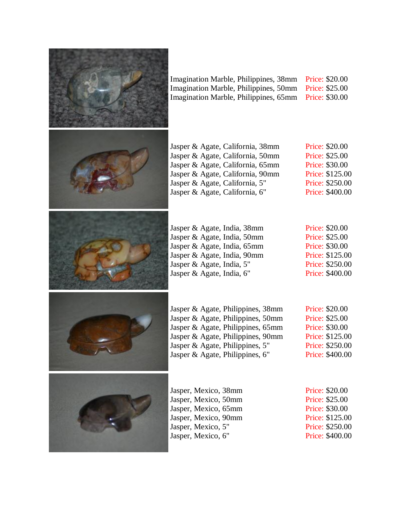

| Imagination Marble, Philippines, 38mm Price: \$20.00 |  |
|------------------------------------------------------|--|
| Imagination Marble, Philippines, 50mm Price: \$25.00 |  |
| Imagination Marble, Philippines, 65mm Price: \$30.00 |  |



| Jasper & Agate, California, 38mm | Price: \$20.00  |
|----------------------------------|-----------------|
| Jasper & Agate, California, 50mm | Price: \$25.00  |
| Jasper & Agate, California, 65mm | Price: \$30.00  |
| Jasper & Agate, California, 90mm | Price: \$125.00 |
| Jasper & Agate, California, 5"   | Price: \$250.00 |
| Jasper & Agate, California, 6"   | Price: \$400.00 |



| Price: \$20.00  |
|-----------------|
| Price: \$25.00  |
| Price: \$30.00  |
| Price: \$125.00 |
| Price: \$250.00 |
| Price: \$400.00 |



| Jasper & Agate, Philippines, 38mm |  |
|-----------------------------------|--|
| Jasper & Agate, Philippines, 50mm |  |
| Jasper & Agate, Philippines, 65mm |  |
| Jasper & Agate, Philippines, 90mm |  |
| Jasper & Agate, Philippines, 5"   |  |
| Jasper & Agate, Philippines, 6"   |  |

Price: \$20.00 Price: \$25.00 Price: \$30.00 Price: \$125.00 Price: \$250.00 Price: \$400.00



| Jasper, Mexico, 38mm |  |
|----------------------|--|
| Jasper, Mexico, 50mm |  |
| Jasper, Mexico, 65mm |  |
| Jasper, Mexico, 90mm |  |
| Jasper, Mexico, 5"   |  |
| Jasper, Mexico, 6"   |  |

Jasper & Agate, India, 38mm Jasper & Agate, India, 50mm Jasper & Agate, India, 65mm Jasper & Agate, India, 90mm Jasper & Agate, India, 5" Jasper & Agate, India, 6"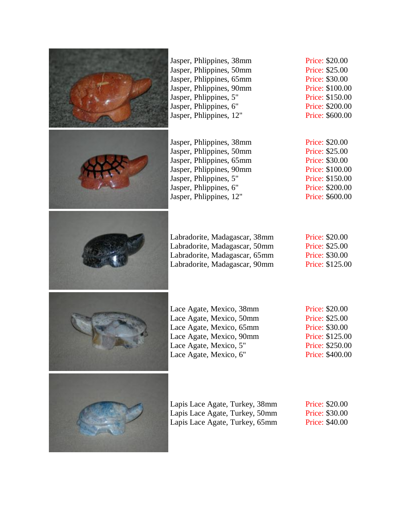

Jasper, Phlippines, 38mm Jasper, Phlippines, 50mm Jasper, Phlippines, 65mm Jasper, Phlippines, 90mm Jasper, Phlippines, 5" Jasper, Phlippines, 6" Jasper, Phlippines, 12"

Jasper, Phlippines, 38mm Jasper, Phlippines, 50mm Jasper, Phlippines, 65mm Jasper, Phlippines, 90mm Jasper, Phlippines, 5" Jasper, Phlippines, 6" Jasper, Phlippines, 12"

Labradorite, Madagascar, 38mm Labradorite, Madagascar, 50mm Labradorite, Madagascar, 65mm Labradorite, Madagascar, 90mm Price: \$20.00 Price: \$25.00 Price: \$30.00 Price: \$100.00 Price: \$150.00 Price: \$200.00 Price: \$600.00

Price: \$20.00 Price: \$25.00 Price: \$30.00 Price: \$100.00 Price: \$150.00 Price: \$200.00 Price: \$600.00

Price: \$20.00 Price: \$25.00 Price: \$30.00 Price: \$125.00



Lace Agate, Mexico, 38mm Lace Agate, Mexico, 50mm Lace Agate, Mexico, 65mm Lace Agate, Mexico, 90mm Lace Agate, Mexico, 5" Lace Agate, Mexico, 6"



| Lapis Lace Agate, Turkey, 38mm | Price: \$20.00        |
|--------------------------------|-----------------------|
| Lapis Lace Agate, Turkey, 50mm | Price: \$30.00        |
| Lapis Lace Agate, Turkey, 65mm | <b>Price: \$40.00</b> |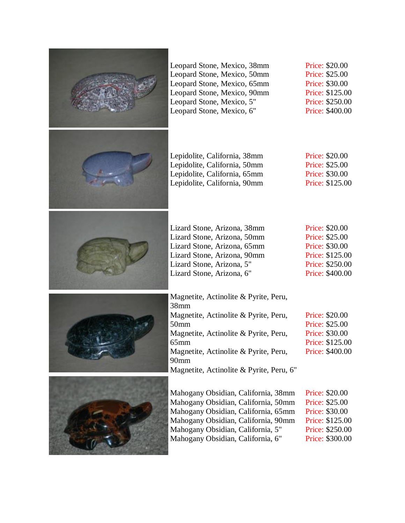

Price: \$20.00 Price: \$25.00 Price: \$30.00 Price: \$125.00 Price: \$250.00 Price: \$400.00

Price: \$20.00 Price: \$25.00 Price: \$30.00 Price: \$125.00

Price: \$20.00 Price: \$25.00 Price: \$30.00 Price: \$125.00 Price: \$250.00 Price: \$400.00

| netite, Actinolite & Pyrite, Peru,    |                 |
|---------------------------------------|-----------------|
| m                                     |                 |
| netite, Actinolite & Pyrite, Peru,    | Price: \$20.00  |
| m                                     | Price: \$25.00  |
| netite, Actinolite & Pyrite, Peru,    | Price: \$30.00  |
| m                                     | Price: \$125.00 |
| netite, Actinolite & Pyrite, Peru,    | Price: \$400.00 |
| m                                     |                 |
| netite, Actinolite & Pyrite, Peru, 6" |                 |

Mahogany Obsidian, California, 38mm Mahogany Obsidian, California, 50mm Mahogany Obsidian, California, 65mm Mahogany Obsidian, California, 90mm Price: \$20.00 Price: \$25.00 Price: \$30.00 Price: \$125.00 Price: \$250.00 Price: \$300.00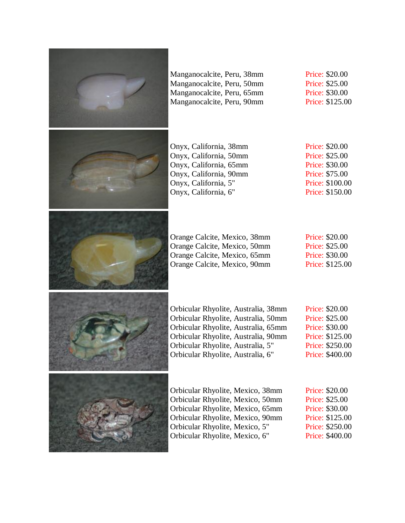

Manganocalcite, Peru, 38mm Manganocalcite, Peru, 50mm Manganocalcite, Peru, 65mm Manganocalcite, Peru, 90mm

Price: \$20.00 Price: \$25.00 Price: \$30.00 Price: \$125.00



Onyx, California, 38mm Onyx, California, 50mm Onyx, California, 65mm Onyx, California, 90mm Onyx, California, 5" Onyx, California, 6"

Price: \$20.00 Price: \$25.00 Price: \$30.00 Price: \$75.00 Price: \$100.00 Price: \$150.00



| <b>Price: \$20.00</b> |
|-----------------------|
| <b>Price: \$25.00</b> |
| <b>Price: \$30.00</b> |
| Price: \$125.00       |
|                       |





Orbicular Rhyolite, Australia, 38mm Orbicular Rhyolite, Australia, 50mm Orbicular Rhyolite, Australia, 65mm Orbicular Rhyolite, Australia, 90mm Orbicular Rhyolite, Australia, 5" Orbicular Rhyolite, Australia, 6"

Price: \$20.00 Price: \$25.00 Price: \$30.00 Price: \$125.00 Price: \$250.00 Price: \$400.00



Orbicular Rhyolite, Mexico, 38mm Orbicular Rhyolite, Mexico, 50mm Orbicular Rhyolite, Mexico, 65mm Orbicular Rhyolite, Mexico, 90mm Orbicular Rhyolite, Mexico, 5" Orbicular Rhyolite, Mexico, 6"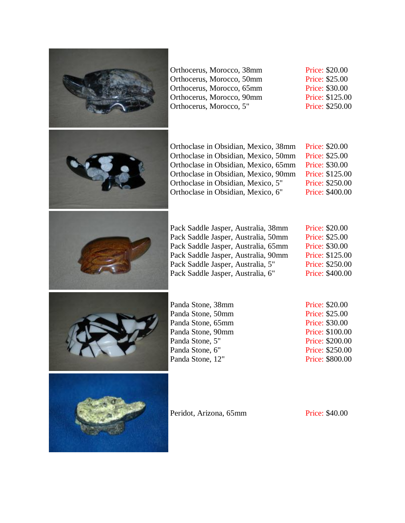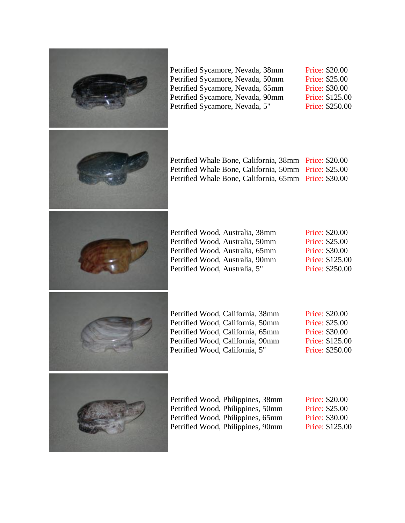

Petrified Sycamore, Nevada, 38mm Petrified Sycamore, Nevada, 50mm Petrified Sycamore, Nevada, 65mm Petrified Sycamore, Nevada, 90mm Petrified Sycamore, Nevada, 5"

Price: \$20.00 Price: \$25.00 Price: \$30.00 Price: \$125.00 Price: \$250.00

| Petrified Whale Bone, California, 38mm Price: \$20.00 |  |
|-------------------------------------------------------|--|
| Petrified Whale Bone, California, 50mm Price: \$25.00 |  |
| Petrified Whale Bone, California, 65mm Price: \$30.00 |  |



| Petrified Wood, Australia, 38mm |  |
|---------------------------------|--|
| Petrified Wood, Australia, 50mm |  |
| Petrified Wood, Australia, 65mm |  |
| Petrified Wood, Australia, 90mm |  |
| Petrified Wood, Australia, 5"   |  |
|                                 |  |

Price: \$20.00 Price: \$25.00 Price: \$30.00 Price: \$125.00 Price: \$250.00



Petrified Wood, California, 38mm Petrified Wood, California, 50mm Petrified Wood, California, 65mm Petrified Wood, California, 90mm Petrified Wood, California, 5"

Price: \$20.00 Price: \$25.00 Price: \$30.00 Price: \$125.00 Price: \$250.00



| Petrified Wood, Philippines, 38mm | Pr |
|-----------------------------------|----|
| Petrified Wood, Philippines, 50mm | Pr |
| Petrified Wood, Philippines, 65mm | Pr |
| Petrified Wood, Philippines, 90mm | Pr |

 $\text{rice: } $20.00$  $\text{rice: } $25.00$  $\text{rice: } $30.00$ ice: \$125.00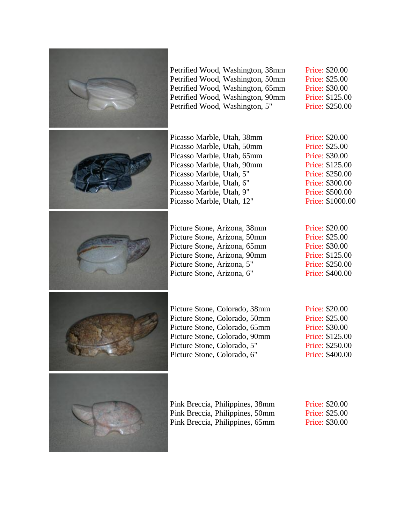

Petrified Wood, Washington, 38mm Petrified Wood, Washington, 50mm Petrified Wood, Washington, 65mm Petrified Wood, Washington, 90mm Petrified Wood, Washington, 5"

Picasso Marble, Utah, 38mm Picasso Marble, Utah, 50mm Picasso Marble, Utah, 65mm Picasso Marble, Utah, 90mm Picasso Marble, Utah, 5" Picasso Marble, Utah, 6" Picasso Marble, Utah, 9" Picasso Marble, Utah, 12"

Picture Stone, Arizona, 38mm Picture Stone, Arizona, 50mm Picture Stone, Arizona, 65mm Picture Stone, Arizona, 90mm Picture Stone, Arizona, 5" Picture Stone, Arizona, 6"

Price: \$20.00 Price: \$25.00 Price: \$30.00 Price: \$125.00 Price: \$250.00

Price: \$20.00 Price: \$25.00 Price: \$30.00 Price: \$125.00 Price: \$250.00 Price: \$300.00 Price: \$500.00 Price: \$1000.00

Price: \$20.00 Price: \$25.00 Price: \$30.00 Price: \$125.00 Price: \$250.00 Price: \$400.00

Price: \$20.00 Price: \$25.00 Price: \$30.00 Price: \$125.00 Price: \$250.00 Price: \$400.00

Pink Breccia, Philippines, 38mm Pink Breccia, Philippines, 50mm Pink Breccia, Philippines, 65mm

Price: \$20.00 Price: \$25.00 Price: \$30.00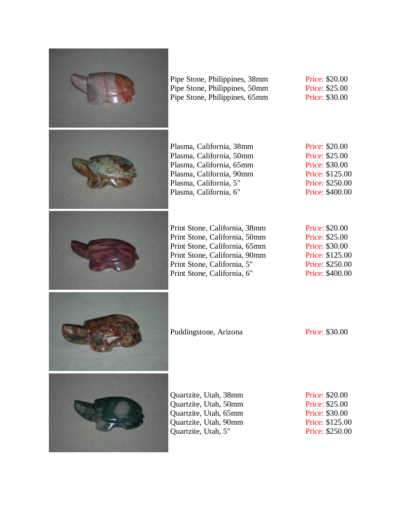

Pipe Stone, Philippines, 38mm Pipe Stone, Philippines, 50mm Pipe Stone, Philippines, 65mm Price: \$20.00 Price: \$25.00 Price: \$30.00



Plasma, California, 38mm Plasma, California, 50mm Plasma, California, 65mm Plasma, California, 90mm Plasma, California, 5" Plasma, California, 6"

Price: \$20.00 Price: \$25.00 Price: \$30.00 Price: \$125.00 Price: \$250.00 Price: \$400.00



Print Stone, California, 38mm Print Stone, California, 50mm Print Stone, California, 65mm Print Stone, California, 90mm Print Stone, California, 5" Print Stone, California, 6"

Price: \$20.00 Price: \$25.00 Price: \$30.00 Price: \$125.00 Price: \$250.00 Price: \$400.00



Puddingstone, Arizona Price: \$30.00



Quartzite, Utah, 38mm Quartzite, Utah, 50mm Quartzite, Utah, 65mm Quartzite, Utah, 90mm Quartzite, Utah, 5"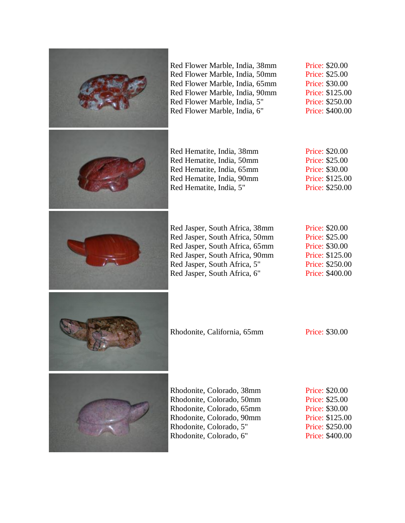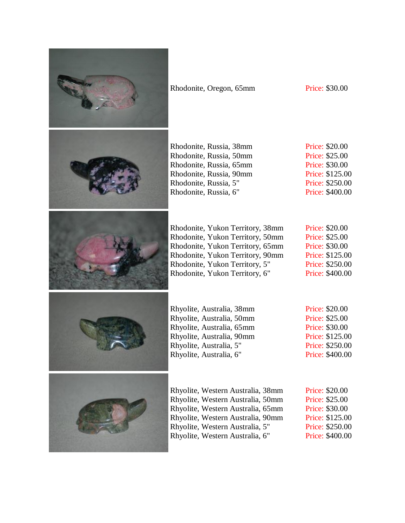

Rhodonite, Oregon, 65mm Price: \$30.00

Rhodonite, Russia, 38mm Rhodonite, Russia, 50mm Rhodonite, Russia, 65mm Rhodonite, Russia, 90mm Rhodonite, Russia, 5" Rhodonite, Russia, 6"

Price: \$20.00 Price: \$25.00 Price: \$30.00 Price: \$125.00 Price: \$250.00 Price: \$400.00

Rhodonite, Yukon Territory, 38mm Rhodonite, Yukon Territory, 50mm Rhodonite, Yukon Territory, 65mm Rhodonite, Yukon Territory, 90mm Rhodonite, Yukon Territory, 5" Rhodonite, Yukon Territory, 6"

Price: \$20.00 Price: \$25.00 Price: \$30.00 Price: \$125.00 Price: \$250.00 Price: \$400.00



Rhyolite, Australia, 38mm Rhyolite, Australia, 50mm Rhyolite, Australia, 65mm Rhyolite, Australia, 90mm Rhyolite, Australia, 5" Rhyolite, Australia, 6"

Price: \$20.00 Price: \$25.00 Price: \$30.00 Price: \$125.00 Price: \$250.00 Price: \$400.00



Rhyolite, Western Australia, 38mm Rhyolite, Western Australia, 50mm Rhyolite, Western Australia, 65mm Rhyolite, Western Australia, 90mm Rhyolite, Western Australia, 5" Rhyolite, Western Australia, 6"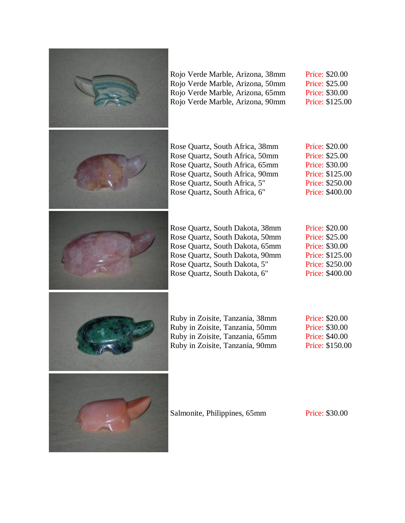

Rojo Verde Marble, Arizona, 38mm Rojo Verde Marble, Arizona, 50mm Rojo Verde Marble, Arizona, 65mm Rojo Verde Marble, Arizona, 90mm Price: \$20.00 Price: \$25.00 Price: \$30.00 Price: \$125.00



Rose Quartz, South Africa, 38mm Rose Quartz, South Africa, 50mm Rose Quartz, South Africa, 65mm Rose Quartz, South Africa, 90mm Rose Quartz, South Africa, 5" Rose Quartz, South Africa, 6"

Price: \$20.00 Price: \$25.00 Price: \$30.00 Price: \$125.00 Price: \$250.00 Price: \$400.00



Rose Quartz, South Dakota, 38mm Rose Quartz, South Dakota, 50mm Rose Quartz, South Dakota, 65mm Rose Quartz, South Dakota, 90mm Rose Quartz, South Dakota, 5" Rose Quartz, South Dakota, 6"

Price: \$20.00 Price: \$25.00 Price: \$30.00 Price: \$125.00 Price: \$250.00 Price: \$400.00



Ruby in Zoisite, Tanzania, 38mm Ruby in Zoisite, Tanzania, 50mm Ruby in Zoisite, Tanzania, 65mm Ruby in Zoisite, Tanzania, 90mm

Price: \$20.00 Price: \$30.00 Price: \$40.00 Price: \$150.00



Salmonite, Philippines, 65mm Price: \$30.00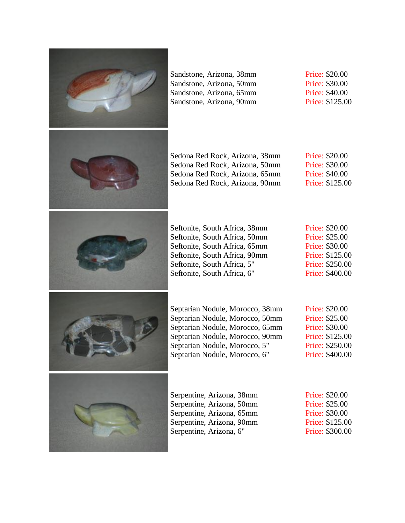

Sandstone, Arizona, 38mm Sandstone, Arizona, 50mm Sandstone, Arizona, 65mm Sandstone, Arizona, 90mm Price: \$20.00 Price: \$30.00 Price: \$40.00 Price: \$125.00



Sedona Red Rock, Arizona, 38mm Sedona Red Rock, Arizona, 50mm Sedona Red Rock, Arizona, 65mm Sedona Red Rock, Arizona, 90mm

Price: \$20.00 Price: \$30.00 Price: \$40.00 Price: \$125.00



Seftonite, South Africa, 38mm Seftonite, South Africa, 50mm Seftonite, South Africa, 65mm Seftonite, South Africa, 90mm Seftonite, South Africa, 5" Seftonite, South Africa, 6"

Price: \$20.00 Price: \$25.00 Price: \$30.00 Price: \$125.00 Price: \$250.00 Price: \$400.00



Septarian Nodule, Morocco, 38mm Septarian Nodule, Morocco, 50mm Septarian Nodule, Morocco, 65mm Septarian Nodule, Morocco, 90mm Septarian Nodule, Morocco, 5" Septarian Nodule, Morocco, 6"

Price: \$20.00 Price: \$25.00 Price: \$30.00 Price: \$125.00 Price: \$250.00 Price: \$400.00



Serpentine, Arizona, 38mm Serpentine, Arizona, 50mm Serpentine, Arizona, 65mm Serpentine, Arizona, 90mm Serpentine, Arizona, 6"

Price: \$20.00 Price: \$25.00 Price: \$30.00 Price: \$125.00 Price: \$300.00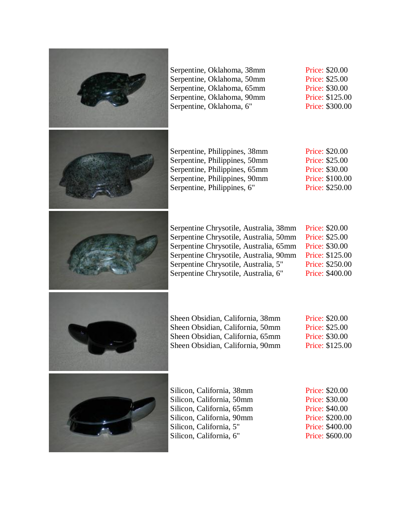

Serpentine, Oklahoma, 38mm Serpentine, Oklahoma, 50mm Serpentine, Oklahoma, 65mm Serpentine, Oklahoma, 90mm Serpentine, Oklahoma, 6"

Price: \$20.00 Price: \$25.00 Price: \$30.00 Price: \$125.00 Price: \$300.00

| Serpentine, Philippines, 38mm | Price: \$2 |
|-------------------------------|------------|
| Serpentine, Philippines, 50mm | Price: \$2 |
| Serpentine, Philippines, 65mm | Price: \$3 |
| Serpentine, Philippines, 90mm | Price: \$  |
| Serpentine, Philippines, 6"   | Price: \$2 |

20.00 Price: \$25.00  $30.00$ 100.00 250.00



| Serpentine Chrysotile, Australia, 38mm | <b>Price: \$20.00</b> |
|----------------------------------------|-----------------------|
| Serpentine Chrysotile, Australia, 50mm | Price: \$25.00        |
| Serpentine Chrysotile, Australia, 65mm | <b>Price: \$30.00</b> |
| Serpentine Chrysotile, Australia, 90mm | Price: \$125.00       |
| Serpentine Chrysotile, Australia, 5"   | Price: \$250.00       |
| Serpentine Chrysotile, Australia, 6"   | Price: \$400.00       |



| Sheen Obsidian, California, 38mm | Price: \$20.00  |
|----------------------------------|-----------------|
| Sheen Obsidian, California, 50mm | Price: \$25.00  |
| Sheen Obsidian, California, 65mm | Price: \$30.00  |
| Sheen Obsidian, California, 90mm | Price: \$125.00 |



| Silicon, California, 38mm |  |
|---------------------------|--|
| Silicon, California, 50mm |  |
| Silicon, California, 65mm |  |
| Silicon, California, 90mm |  |
| Silicon, California, 5"   |  |
| Silicon, California, 6"   |  |

Price: \$20.00 Price: \$30.00 Price: \$40.00 Price: \$200.00 Price: \$400.00 Price: \$600.00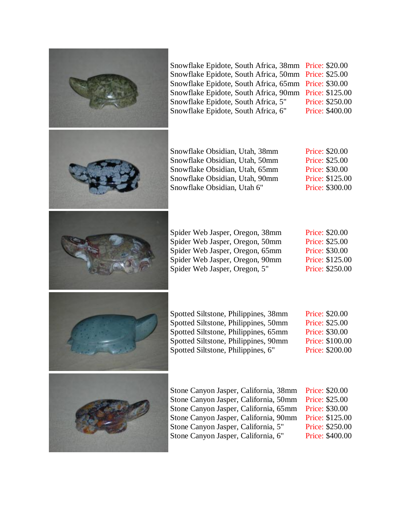

Snowflake Epidote, South Africa, 38mm Price: \$20.00 Snowflake Epidote, South Africa, 50mm Price: \$25.00 Snowflake Epidote, South Africa, 65mm Price: \$30.00 Snowflake Epidote, South Africa, 90mm Price: \$125.00 Price: \$250.00 Price: \$400.00

Snowflake Obsidian, Utah, 38mm Snowflake Obsidian, Utah, 50mm Snowflake Obsidian, Utah, 65mm Snowflake Obsidian, Utah, 90mm Price: \$20.00 Price: \$25.00 Price: \$30.00 Price: \$125.00 Price: \$300.00

Price: \$20.00 Price: \$25.00 Price: \$30.00 Price: \$125.00 Price: \$250.00

Price: \$20.00 Price: \$25.00 Price: \$30.00 Price: \$100.00 Price: \$200.00

Stone Canyon Jasper, California, 38mm Stone Canyon Jasper, California, 50mm Stone Canyon Jasper, California, 65mm Stone Canyon Jasper, California, 90mm Stone Canyon Jasper, California, 5" Stone Canyon Jasper, California, 6" Price: \$20.00 Price: \$25.00 Price: \$30.00 Price: \$125.00 Price: \$250.00 Price: \$400.00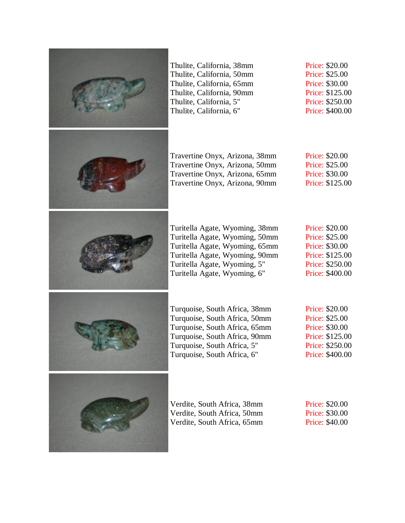

Thulite, California, 38mm Thulite, California, 50mm Thulite, California, 65mm Thulite, California, 90mm Thulite, California, 5" Thulite, California, 6"

Travertine Onyx, Arizona, 38mm Travertine Onyx, Arizona, 50mm Travertine Onyx, Arizona, 65mm Travertine Onyx, Arizona, 90mm Price: \$20.00 Price: \$25.00 Price: \$30.00 Price: \$125.00 Price: \$250.00 Price: \$400.00

Price: \$20.00 Price: \$25.00 Price: \$30.00 Price: \$125.00

Turitella Agate, Wyoming, 38mm Turitella Agate, Wyoming, 50mm Turitella Agate, Wyoming, 65mm Turitella Agate, Wyoming, 90mm Turitella Agate, Wyoming, 5" Turitella Agate, Wyoming, 6"

Price: \$20.00 Price: \$25.00 Price: \$30.00 Price: \$125.00 Price: \$250.00 Price: \$400.00

Turquoise, South Africa, 38mm Turquoise, South Africa, 50mm Turquoise, South Africa, 65mm Turquoise, South Africa, 90mm Turquoise, South Africa, 5" Turquoise, South Africa, 6"

Price: \$20.00 Price: \$25.00 Price: \$30.00 Price: \$125.00 Price: \$250.00 Price: \$400.00



Verdite, South Africa, 38mm Verdite, South Africa, 50mm Verdite, South Africa, 65mm Price: \$20.00 Price: \$30.00 Price: \$40.00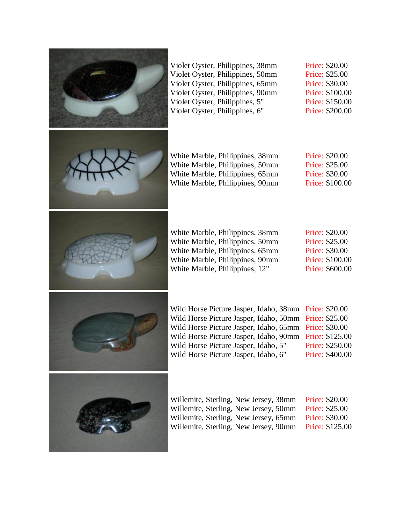

Violet Oyster, Philippines, 38mm Violet Oyster, Philippines, 50mm Violet Oyster, Philippines, 65mm Violet Oyster, Philippines, 90mm Violet Oyster, Philippines, 5" Violet Oyster, Philippines, 6"

Price: \$20.00 Price: \$25.00 Price: \$30.00 Price: \$100.00 Price: \$150.00 Price: \$200.00



White Marble, Philippines, 38mm White Marble, Philippines, 50mm White Marble, Philippines, 65mm White Marble, Philippines, 90mm Price: \$20.00 Price: \$25.00 Price: \$30.00 Price: \$100.00



White Marble, Philippines, 38mm White Marble, Philippines, 50mm White Marble, Philippines, 65mm White Marble, Philippines, 90mm White Marble, Philippines, 12"

Price: \$20.00 Price: \$25.00 Price: \$30.00 Price: \$100.00 Price: \$600.00



Wild Horse Picture Jasper, Idaho, 38mm Price: \$20.00 Wild Horse Picture Jasper, Idaho, 50mm Price: \$25.00 Wild Horse Picture Jasper, Idaho, 65mm Wild Horse Picture Jasper, Idaho, 90mm Wild Horse Picture Jasper, Idaho, 5" Wild Horse Picture Jasper, Idaho, 6" Price: \$30.00 Price: \$125.00 Price: \$250.00 Price: \$400.00



Willemite, Sterling, New Jersey, 38mm Willemite, Sterling, New Jersey, 50mm Willemite, Sterling, New Jersey, 65mm Willemite, Sterling, New Jersey, 90mm Price: \$20.00 Price: \$25.00 Price: \$30.00 Price: \$125.00